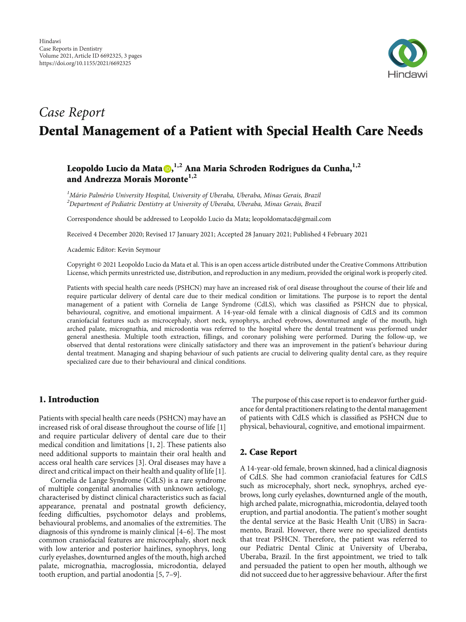

# Case Report Dental Management of a Patient with Special Health Care Needs

# Leopoldo Lucio da Mata $\textbf{D,}^{1,2}$  $\textbf{D,}^{1,2}$  $\textbf{D,}^{1,2}$  Ana Maria Schroden Rodrigues da Cunha,<sup>1,2</sup> and Andrezza Morais Moronte**1,2**

 ${}^{1}$ Mário Palmério University Hospital, University of Uberaba, Uberaba, Minas Gerais, Brazil  $^2$ Department of Pediatric Dentistry at University of Uberaba, Uberaba, Minas Gerais, Brazil

Correspondence should be addressed to Leopoldo Lucio da Mata; leopoldomatacd@gmail.com

Received 4 December 2020; Revised 17 January 2021; Accepted 28 January 2021; Published 4 February 2021

Academic Editor: Kevin Seymour

Copyright © 2021 Leopoldo Lucio da Mata et al. This is an open access article distributed under the [Creative Commons Attribution](https://creativecommons.org/licenses/by/4.0/) [License,](https://creativecommons.org/licenses/by/4.0/) which permits unrestricted use, distribution, and reproduction in any medium, provided the original work is properly cited.

Patients with special health care needs (PSHCN) may have an increased risk of oral disease throughout the course of their life and require particular delivery of dental care due to their medical condition or limitations. The purpose is to report the dental management of a patient with Cornelia de Lange Syndrome (CdLS), which was classified as PSHCN due to physical, behavioural, cognitive, and emotional impairment. A 14-year-old female with a clinical diagnosis of CdLS and its common craniofacial features such as microcephaly, short neck, synophrys, arched eyebrows, downturned angle of the mouth, high arched palate, micrognathia, and microdontia was referred to the hospital where the dental treatment was performed under general anesthesia. Multiple tooth extraction, fillings, and coronary polishing were performed. During the follow-up, we observed that dental restorations were clinically satisfactory and there was an improvement in the patient's behaviour during dental treatment. Managing and shaping behaviour of such patients are crucial to delivering quality dental care, as they require specialized care due to their behavioural and clinical conditions.

#### 1. Introduction

Patients with special health care needs (PSHCN) may have an increased risk of oral disease throughout the course of life [[1\]](#page-2-0) and require particular delivery of dental care due to their medical condition and limitations [\[1, 2\]](#page-2-0). These patients also need additional supports to maintain their oral health and access oral health care services [\[3\]](#page-2-0). Oral diseases may have a direct and critical impact on their health and quality of life [[1](#page-2-0)].

Cornelia de Lange Syndrome (CdLS) is a rare syndrome of multiple congenital anomalies with unknown aetiology, characterised by distinct clinical characteristics such as facial appearance, prenatal and postnatal growth deficiency, feeding difficulties, psychomotor delays and problems, behavioural problems, and anomalies of the extremities. The diagnosis of this syndrome is mainly clinical [[4](#page-2-0)–[6](#page-2-0)]. The most common craniofacial features are microcephaly, short neck with low anterior and posterior hairlines, synophrys, long curly eyelashes, downturned angles of the mouth, high arched palate, micrognathia, macroglossia, microdontia, delayed tooth eruption, and partial anodontia [\[5, 7](#page-2-0)–[9\]](#page-2-0).

The purpose of this case report is to endeavor further guidance for dental practitioners relating to the dental management of patients with CdLS which is classified as PSHCN due to physical, behavioural, cognitive, and emotional impairment.

## 2. Case Report

A 14-year-old female, brown skinned, had a clinical diagnosis of CdLS. She had common craniofacial features for CdLS such as microcephaly, short neck, synophrys, arched eyebrows, long curly eyelashes, downturned angle of the mouth, high arched palate, micrognathia, microdontia, delayed tooth eruption, and partial anodontia. The patient's mother sought the dental service at the Basic Health Unit (UBS) in Sacramento, Brazil. However, there were no specialized dentists that treat PSHCN. Therefore, the patient was referred to our Pediatric Dental Clinic at University of Uberaba, Uberaba, Brazil. In the first appointment, we tried to talk and persuaded the patient to open her mouth, although we did not succeed due to her aggressive behaviour. After the first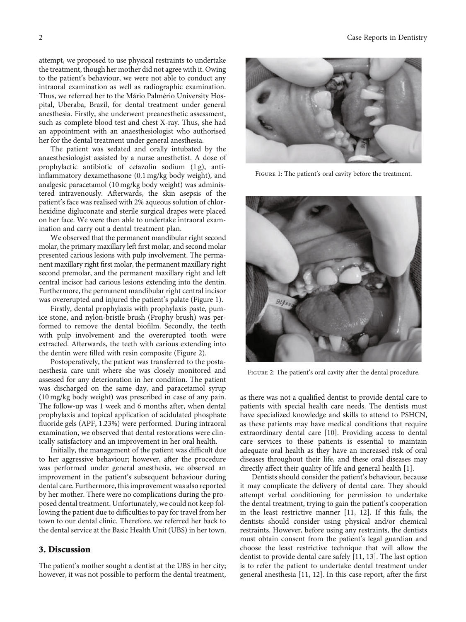attempt, we proposed to use physical restraints to undertake the treatment, though her mother did not agree with it. Owing to the patient's behaviour, we were not able to conduct any intraoral examination as well as radiographic examination. Thus, we referred her to the Mário Palmério University Hospital, Uberaba, Brazil, for dental treatment under general anesthesia. Firstly, she underwent preanesthetic assessment, such as complete blood test and chest X-ray. Thus, she had an appointment with an anaesthesiologist who authorised her for the dental treatment under general anesthesia.

The patient was sedated and orally intubated by the anaesthesiologist assisted by a nurse anesthetist. A dose of prophylactic antibiotic of cefazolin sodium (1 g), antiinflammatory dexamethasone (0.1 mg/kg body weight), and analgesic paracetamol (10 mg/kg body weight) was administered intravenously. Afterwards, the skin asepsis of the patient's face was realised with 2% aqueous solution of chlorhexidine digluconate and sterile surgical drapes were placed on her face. We were then able to undertake intraoral examination and carry out a dental treatment plan.

We observed that the permanent mandibular right second molar, the primary maxillary left first molar, and second molar presented carious lesions with pulp involvement. The permanent maxillary right first molar, the permanent maxillary right second premolar, and the permanent maxillary right and left central incisor had carious lesions extending into the dentin. Furthermore, the permanent mandibular right central incisor was overerupted and injured the patient's palate (Figure 1).

Firstly, dental prophylaxis with prophylaxis paste, pumice stone, and nylon-bristle brush (Prophy brush) was performed to remove the dental biofilm. Secondly, the teeth with pulp involvement and the overerupted tooth were extracted. Afterwards, the teeth with carious extending into the dentin were filled with resin composite (Figure 2).

Postoperatively, the patient was transferred to the postanesthesia care unit where she was closely monitored and assessed for any deterioration in her condition. The patient was discharged on the same day, and paracetamol syrup (10 mg/kg body weight) was prescribed in case of any pain. The follow-up was 1 week and 6 months after, when dental prophylaxis and topical application of acidulated phosphate fluoride gels (APF, 1.23%) were performed. During intraoral examination, we observed that dental restorations were clinically satisfactory and an improvement in her oral health.

Initially, the management of the patient was difficult due to her aggressive behaviour; however, after the procedure was performed under general anesthesia, we observed an improvement in the patient's subsequent behaviour during dental care. Furthermore, this improvement was also reported by her mother. There were no complications during the proposed dental treatment. Unfortunately, we could not keep following the patient due to difficulties to pay for travel from her town to our dental clinic. Therefore, we referred her back to the dental service at the Basic Health Unit (UBS) in her town.

#### 3. Discussion

The patient's mother sought a dentist at the UBS in her city; however, it was not possible to perform the dental treatment,



Figure 1: The patient's oral cavity before the treatment.



Figure 2: The patient's oral cavity after the dental procedure.

as there was not a qualified dentist to provide dental care to patients with special health care needs. The dentists must have specialized knowledge and skills to attend to PSHCN, as these patients may have medical conditions that require extraordinary dental care [\[10\]](#page-2-0). Providing access to dental care services to these patients is essential to maintain adequate oral health as they have an increased risk of oral diseases throughout their life, and these oral diseases may directly affect their quality of life and general health [[1\]](#page-2-0).

Dentists should consider the patient's behaviour, because it may complicate the delivery of dental care. They should attempt verbal conditioning for permission to undertake the dental treatment, trying to gain the patient's cooperation in the least restrictive manner [\[11, 12\]](#page-2-0). If this fails, the dentists should consider using physical and/or chemical restraints. However, before using any restraints, the dentists must obtain consent from the patient's legal guardian and choose the least restrictive technique that will allow the dentist to provide dental care safely [\[11, 13](#page-2-0)]. The last option is to refer the patient to undertake dental treatment under general anesthesia [[11](#page-2-0), [12\]](#page-2-0). In this case report, after the first